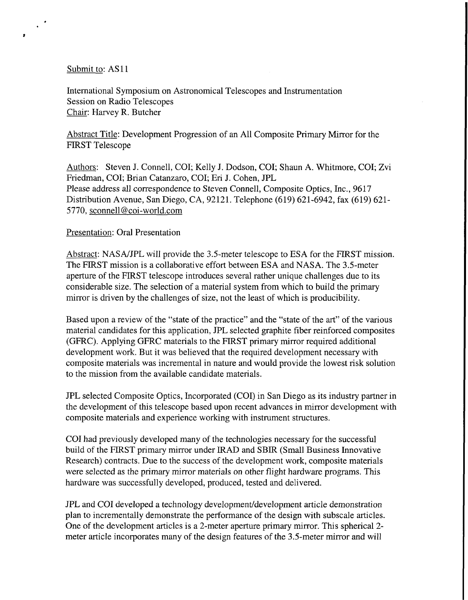## Submit to: AS11

 $\mathcal{L}^{\mathcal{A}}$ 

 $\bullet$ 

International Symposium on Astronomical Telescopes and Instrumentation Session on Radio Telescopes Chair: Harvey R. Butcher

Abstract Title: Development Progression of an All Composite Primary Mirror for the FIRST Telescope

Authors: Steven J. Connell, COI; Kelly J. Dodson, COI; Shaun A. Whitmore, COI; Zvi Friedman, COI; Brian Catanzaro, COI; Eri J. Cohen, JPL Please address all correspondence to Steven Connell, Composite Optics, Inc., 9617 Distribution Avenue, San Diego, CA, 92121. Telephone (619) 621-6942, fax (619) 621- 5770, [sconnell@coi-world.com](mailto:sconnell@coi-world.com)

## Presentation: Oral Presentation

Abstract: NASNJPL will provide the 3.5-meter telescope to ESA for the FIRST mission. The FIRST mission is a collaborative effort between ESA and NASA. The 3.5-meter aperture of the FIRST telescope introduces several rather unique challenges due to its considerable size. The selection of a material system from which to build the primary mirror is driven by the challenges of size, not the least of which is producibility.

Based upon a review of the "state of the practice" and the "state of the art" of the various material candidates for this application, JPL selected graphite fiber reinforced composites (GFRC). Applying GFRC materials to the FIRST primary mirror required additional development work. But it was believed that the required development necessary with composite materials was incremental in nature and would provide the lowest risk solution to the mission from the available candidate materials.

JPL selected Composite Optics, Incorporated (COI) in San Diego as its industry partner in the development of this telescope based upon recent advances in mirror development with composite materials and experience working with instrument structures.

COI had previously developed many of the technologies necessary for the successful build of the FlRST primary mirror under IRAD and SBIR (Small Business Innovative Research) contracts. Due to the success of the development work, composite materials were selected as the primary mirror materials on other flight hardware programs. This hardware was successfully developed, produced, tested and delivered.

JPL and COI developed a technology development/development article demonstration plan to incrementally demonstrate the performance of the design with subscale articles. One of the development articles is a 2-meter aperture primary mirror. This spherical 2 meter article incorporates many of the design features of the 3.5-meter mirror and will